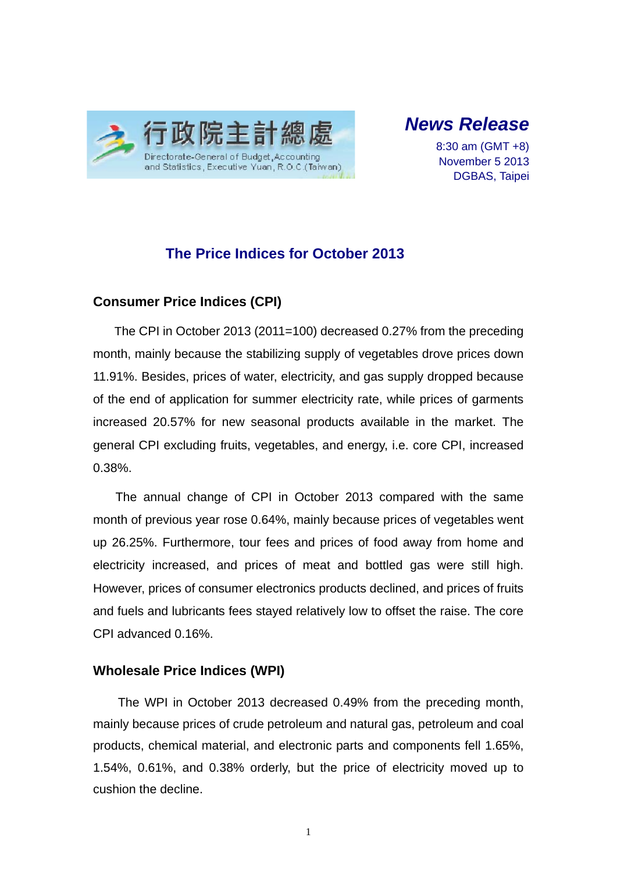

# *News Release*

8:30 am (GMT +8) November 5 2013 DGBAS, Taipei

## **The Price Indices for October 2013**

### **Consumer Price Indices (CPI)**

The CPI in October 2013 (2011=100) decreased 0.27% from the preceding month, mainly because the stabilizing supply of vegetables drove prices down 11.91%. Besides, prices of water, electricity, and gas supply dropped because of the end of application for summer electricity rate, while prices of garments increased 20.57% for new seasonal products available in the market. The general CPI excluding fruits, vegetables, and energy, i.e. core CPI, increased 0.38%.

The annual change of CPI in October 2013 compared with the same month of previous year rose 0.64%, mainly because prices of vegetables went up 26.25%. Furthermore, tour fees and prices of food away from home and electricity increased, and prices of meat and bottled gas were still high. However, prices of consumer electronics products declined, and prices of fruits and fuels and lubricants fees stayed relatively low to offset the raise. The core CPI advanced 0.16%.

#### **Wholesale Price Indices (WPI)**

The WPI in October 2013 decreased 0.49% from the preceding month, mainly because prices of crude petroleum and natural gas, petroleum and coal products, chemical material, and electronic parts and components fell 1.65%, 1.54%, 0.61%, and 0.38% orderly, but the price of electricity moved up to cushion the decline.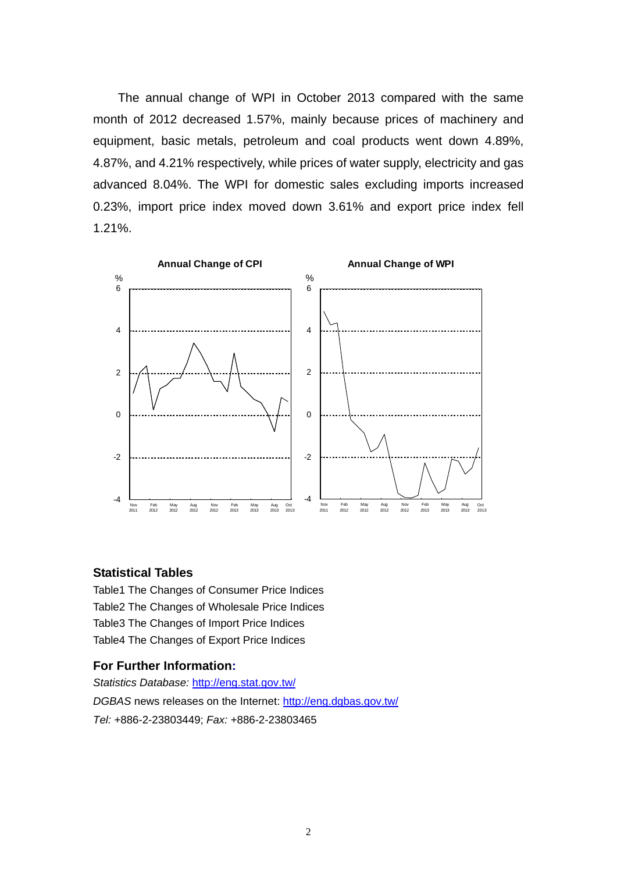The annual change of WPI in October 2013 compared with the same month of 2012 decreased 1.57%, mainly because prices of machinery and equipment, basic metals, petroleum and coal products went down 4.89%, 4.87%, and 4.21% respectively, while prices of water supply, electricity and gas advanced 8.04%. The WPI for domestic sales excluding imports increased 0.23%, import price index moved down 3.61% and export price index fell 1.21%.



#### **Statistical Tables**

Table1 The Changes of Consumer Price Indices Table2 The Changes of Wholesale Price Indices Table3 The Changes of Import Price Indices Table4 The Changes of Export Price Indices

#### **For Further Information:**

*Statistics Database:* http://eng.stat.gov.tw/ *DGBAS* news releases on the Internet: http://eng.dgbas.gov.tw/ *Tel:* +886-2-23803449; *Fax:* +886-2-23803465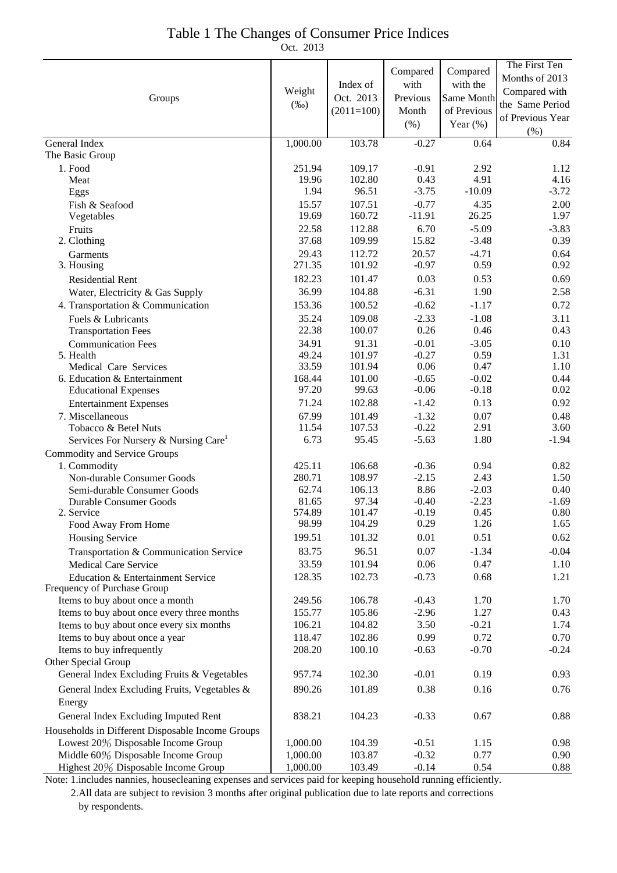| Table 1 The Changes of Consumer Price Indices |  |
|-----------------------------------------------|--|
| Oct. 2013                                     |  |

|                                                                  |                 |                  |                    |                 | The First Ten    |
|------------------------------------------------------------------|-----------------|------------------|--------------------|-----------------|------------------|
|                                                                  | Weight          |                  | Compared           | Compared        | Months of 2013   |
|                                                                  |                 | Index of         | with               | with the        | Compared with    |
| Groups                                                           |                 | Oct. 2013        | Previous           | Same Month      | the Same Period  |
|                                                                  | $(\%0)$         | $(2011=100)$     | Month              | of Previous     |                  |
|                                                                  |                 |                  | (% )               | Year $(\%)$     | of Previous Year |
|                                                                  |                 |                  |                    |                 | (% )             |
| General Index<br>The Basic Group                                 | 1,000.00        | 103.78           | $-0.27$            | 0.64            | 0.84             |
|                                                                  |                 |                  |                    |                 |                  |
| 1. Food                                                          | 251.94<br>19.96 | 109.17<br>102.80 | $-0.91$<br>0.43    | 2.92<br>4.91    | 1.12<br>4.16     |
| Meat<br>Eggs                                                     | 1.94            | 96.51            | $-3.75$            | $-10.09$        | $-3.72$          |
|                                                                  | 15.57           | 107.51           | $-0.77$            | 4.35            | 2.00             |
| Fish & Seafood<br>Vegetables                                     | 19.69           | 160.72           | $-11.91$           | 26.25           | 1.97             |
| Fruits                                                           | 22.58           | 112.88           | 6.70               | $-5.09$         | $-3.83$          |
| 2. Clothing                                                      | 37.68           | 109.99           | 15.82              | $-3.48$         | 0.39             |
|                                                                  | 29.43           | 112.72           | 20.57              | $-4.71$         | 0.64             |
| Garments<br>3. Housing                                           | 271.35          | 101.92           | $-0.97$            | 0.59            | 0.92             |
|                                                                  | 182.23          | 101.47           | 0.03               | 0.53            | 0.69             |
| <b>Residential Rent</b>                                          | 36.99           | 104.88           | $-6.31$            | 1.90            | 2.58             |
| Water, Electricity & Gas Supply                                  |                 |                  |                    |                 |                  |
| 4. Transportation & Communication                                | 153.36          | 100.52           | $-0.62$            | $-1.17$         | 0.72             |
| Fuels & Lubricants                                               | 35.24           | 109.08           | $-2.33$            | $-1.08$         | 3.11             |
| <b>Transportation Fees</b>                                       | 22.38           | 100.07           | 0.26               | 0.46            | 0.43             |
| <b>Communication Fees</b>                                        | 34.91           | 91.31            | $-0.01$            | $-3.05$         | 0.10             |
| 5. Health                                                        | 49.24           | 101.97           | $-0.27$            | 0.59            | 1.31             |
| Medical Care Services<br>6. Education & Entertainment            | 33.59<br>168.44 | 101.94<br>101.00 | 0.06<br>$-0.65$    | 0.47<br>$-0.02$ | 1.10<br>0.44     |
|                                                                  | 97.20           | 99.63            | $-0.06$            | $-0.18$         | 0.02             |
| <b>Educational Expenses</b>                                      | 71.24           |                  | $-1.42$            | 0.13            | 0.92             |
| <b>Entertainment Expenses</b>                                    |                 | 102.88           |                    |                 |                  |
| 7. Miscellaneous                                                 | 67.99<br>11.54  | 101.49<br>107.53 | $-1.32$<br>$-0.22$ | 0.07<br>2.91    | 0.48<br>3.60     |
| Tobacco & Betel Nuts                                             | 6.73            | 95.45            | $-5.63$            | 1.80            | $-1.94$          |
| Services For Nursery & Nursing Care <sup>1</sup>                 |                 |                  |                    |                 |                  |
| Commodity and Service Groups                                     |                 |                  |                    |                 |                  |
| 1. Commodity                                                     | 425.11          | 106.68<br>108.97 | $-0.36$<br>$-2.15$ | 0.94<br>2.43    | 0.82<br>1.50     |
| Non-durable Consumer Goods                                       | 280.71<br>62.74 | 106.13           | 8.86               | $-2.03$         | 0.40             |
| Semi-durable Consumer Goods<br><b>Durable Consumer Goods</b>     | 81.65           | 97.34            | $-0.40$            | $-2.23$         | $-1.69$          |
| 2. Service                                                       | 574.89          | 101.47           | $-0.19$            | 0.45            | 0.80             |
| Food Away From Home                                              | 98.99           | 104.29           | 0.29               | 1.26            | 1.65             |
| <b>Housing Service</b>                                           | 199.51          | 101.32           | 0.01               | 0.51            | 0.62             |
| Transportation & Communication Service                           | 83.75           | 96.51            | 0.07               | $-1.34$         | $-0.04$          |
| <b>Medical Care Service</b>                                      | 33.59           | 101.94           | 0.06               | 0.47            | 1.10             |
|                                                                  | 128.35          | 102.73           | $-0.73$            | 0.68            | 1.21             |
| Education & Entertainment Service<br>Frequency of Purchase Group |                 |                  |                    |                 |                  |
| Items to buy about once a month                                  | 249.56          | 106.78           | $-0.43$            | 1.70            | 1.70             |
| Items to buy about once every three months                       | 155.77          | 105.86           | $-2.96$            | 1.27            | 0.43             |
| Items to buy about once every six months                         | 106.21          | 104.82           | 3.50               | $-0.21$         | 1.74             |
| Items to buy about once a year                                   | 118.47          | 102.86           | 0.99               | 0.72            | 0.70             |
| Items to buy infrequently                                        | 208.20          | 100.10           | $-0.63$            | $-0.70$         | $-0.24$          |
| Other Special Group                                              |                 |                  |                    |                 |                  |
| General Index Excluding Fruits & Vegetables                      | 957.74          | 102.30           | $-0.01$            | 0.19            | 0.93             |
|                                                                  |                 |                  |                    |                 |                  |
| General Index Excluding Fruits, Vegetables &                     | 890.26          | 101.89           | 0.38               | 0.16            | 0.76             |
| Energy                                                           |                 |                  |                    |                 |                  |
| General Index Excluding Imputed Rent                             | 838.21          | 104.23           | $-0.33$            | 0.67            | 0.88             |
| Households in Different Disposable Income Groups                 |                 |                  |                    |                 |                  |
| Lowest 20% Disposable Income Group                               | 1,000.00        | 104.39           | $-0.51$            | 1.15            | 0.98             |
| Middle 60% Disposable Income Group                               | 1,000.00        | 103.87           | $-0.32$            | 0.77            | 0.90             |
| Highest 20% Disposable Income Group                              | 1,000.00        | 103.49           | $-0.14$            | 0.54            | 0.88             |

Note: 1.includes nannies, housecleaning expenses and services paid for keeping household running efficiently. 2.All data are subject to revision 3 months after original publication due to late reports and corrections by respondents.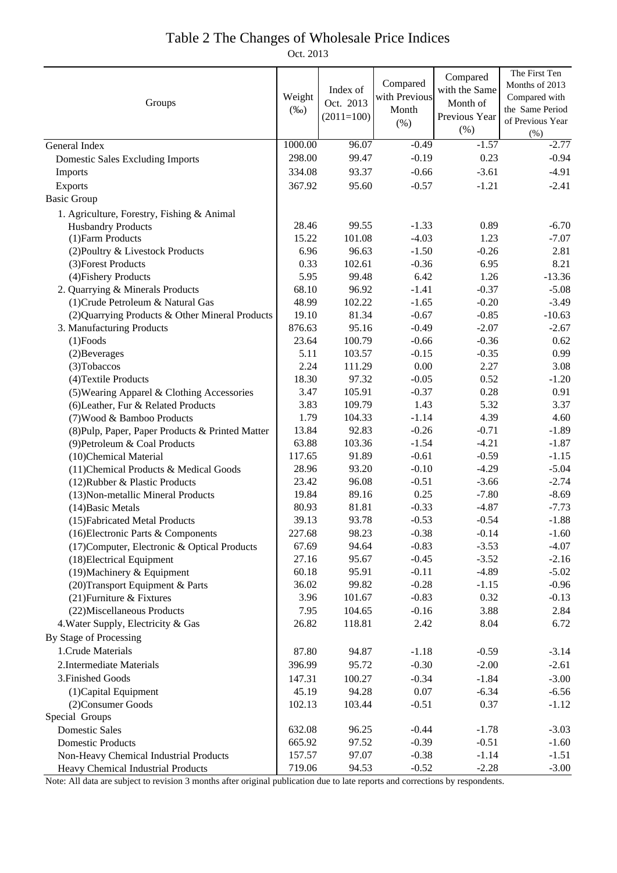## Table 2 The Changes of Wholesale Price Indices

Oct. 2013

|                                                  |         |              |               | Compared      | The First Ten    |
|--------------------------------------------------|---------|--------------|---------------|---------------|------------------|
|                                                  |         | Index of     | Compared      | with the Same | Months of 2013   |
| Groups                                           | Weight  | Oct. 2013    | with Previous | Month of      | Compared with    |
|                                                  |         | $(2011=100)$ | Month         | Previous Year | the Same Period  |
|                                                  |         |              | (% )          | (% )          | of Previous Year |
|                                                  |         |              |               |               | $(\% )$          |
| General Index                                    | 1000.00 | 96.07        | $-0.49$       | $-1.57$       | $-2.77$          |
| <b>Domestic Sales Excluding Imports</b>          | 298.00  | 99.47        | $-0.19$       | 0.23          | $-0.94$          |
| Imports                                          | 334.08  | 93.37        | $-0.66$       | $-3.61$       | $-4.91$          |
| Exports                                          | 367.92  | 95.60        | $-0.57$       | $-1.21$       | $-2.41$          |
| <b>Basic Group</b>                               |         |              |               |               |                  |
| 1. Agriculture, Forestry, Fishing & Animal       |         |              |               |               |                  |
| <b>Husbandry Products</b>                        | 28.46   | 99.55        | $-1.33$       | 0.89          | $-6.70$          |
| (1) Farm Products                                | 15.22   | 101.08       | $-4.03$       | 1.23          | $-7.07$          |
| (2) Poultry & Livestock Products                 | 6.96    | 96.63        | $-1.50$       | $-0.26$       | 2.81             |
| (3) Forest Products                              | 0.33    | 102.61       | $-0.36$       | 6.95          | 8.21             |
| (4) Fishery Products                             | 5.95    | 99.48        | 6.42          | 1.26          | $-13.36$         |
| 2. Quarrying & Minerals Products                 | 68.10   | 96.92        | $-1.41$       | $-0.37$       | $-5.08$          |
| (1) Crude Petroleum & Natural Gas                | 48.99   | 102.22       | $-1.65$       | $-0.20$       | $-3.49$          |
| (2) Quarrying Products & Other Mineral Products  | 19.10   | 81.34        | $-0.67$       | $-0.85$       | $-10.63$         |
| 3. Manufacturing Products                        | 876.63  | 95.16        | $-0.49$       | $-2.07$       | $-2.67$          |
| $(1)$ Foods                                      | 23.64   | 100.79       | $-0.66$       | $-0.36$       | 0.62             |
| (2) Beverages                                    | 5.11    | 103.57       | $-0.15$       | $-0.35$       | 0.99             |
| (3) Tobaccos                                     | 2.24    | 111.29       | $0.00\,$      | 2.27          | 3.08             |
| (4) Textile Products                             | 18.30   | 97.32        | $-0.05$       | 0.52          | $-1.20$          |
| (5) Wearing Apparel & Clothing Accessories       | 3.47    | 105.91       | $-0.37$       | 0.28          | 0.91             |
| (6) Leather, Fur & Related Products              | 3.83    | 109.79       | 1.43          | 5.32          | 3.37             |
| (7) Wood & Bamboo Products                       | 1.79    | 104.33       | $-1.14$       | 4.39          | 4.60             |
| (8) Pulp, Paper, Paper Products & Printed Matter | 13.84   | 92.83        | $-0.26$       | $-0.71$       | $-1.89$          |
| (9) Petroleum & Coal Products                    | 63.88   | 103.36       | $-1.54$       | $-4.21$       | $-1.87$          |
| (10)Chemical Material                            | 117.65  | 91.89        | $-0.61$       | $-0.59$       | $-1.15$          |
| (11) Chemical Products & Medical Goods           | 28.96   | 93.20        | $-0.10$       | $-4.29$       | $-5.04$          |
| (12) Rubber & Plastic Products                   | 23.42   | 96.08        | $-0.51$       | $-3.66$       | $-2.74$          |
| (13) Non-metallic Mineral Products               | 19.84   | 89.16        | 0.25          | $-7.80$       | $-8.69$          |
| (14) Basic Metals                                | 80.93   | 81.81        | $-0.33$       | $-4.87$       | $-7.73$          |
| (15) Fabricated Metal Products                   | 39.13   | 93.78        | $-0.53$       | $-0.54$       | $-1.88$          |
| (16) Electronic Parts & Components               | 227.68  | 98.23        | $-0.38$       | $-0.14$       | $-1.60$          |
| (17) Computer, Electronic & Optical Products     | 67.69   | 94.64        | $-0.83$       | $-3.53$       | $-4.07$          |
| (18) Electrical Equipment                        | 27.16   | 95.67        | $-0.45$       | $-3.52$       | $-2.16$          |
| (19) Machinery & Equipment                       | 60.18   | 95.91        | $-0.11$       | $-4.89$       | $-5.02$          |
| (20) Transport Equipment & Parts                 | 36.02   | 99.82        | $-0.28$       | $-1.15$       | $-0.96$          |
| (21) Furniture & Fixtures                        | 3.96    | 101.67       | $-0.83$       | 0.32          | $-0.13$          |
| (22) Miscellaneous Products                      | 7.95    | 104.65       | $-0.16$       | 3.88          | 2.84             |
| 4. Water Supply, Electricity & Gas               | 26.82   | 118.81       | 2.42          | 8.04          | 6.72             |
|                                                  |         |              |               |               |                  |
| By Stage of Processing                           |         |              |               |               |                  |
| 1. Crude Materials                               | 87.80   | 94.87        | $-1.18$       | $-0.59$       | $-3.14$          |
| 2. Intermediate Materials                        | 396.99  | 95.72        | $-0.30$       | $-2.00$       | $-2.61$          |
| 3. Finished Goods                                | 147.31  | 100.27       | $-0.34$       | $-1.84$       | $-3.00$          |
| (1) Capital Equipment                            | 45.19   | 94.28        | 0.07          | $-6.34$       | $-6.56$          |
| (2) Consumer Goods                               | 102.13  | 103.44       | $-0.51$       | 0.37          | $-1.12$          |
| Special Groups                                   |         |              |               |               |                  |
| <b>Domestic Sales</b>                            | 632.08  | 96.25        | $-0.44$       | $-1.78$       | $-3.03$          |
| <b>Domestic Products</b>                         | 665.92  | 97.52        | $-0.39$       | $-0.51$       | $-1.60$          |
| Non-Heavy Chemical Industrial Products           | 157.57  | 97.07        | $-0.38$       | $-1.14$       | $-1.51$          |
| Heavy Chemical Industrial Products               | 719.06  | 94.53        | $-0.52$       | $-2.28$       | $-3.00$          |

Note: All data are subject to revision 3 months after original publication due to late reports and corrections by respondents.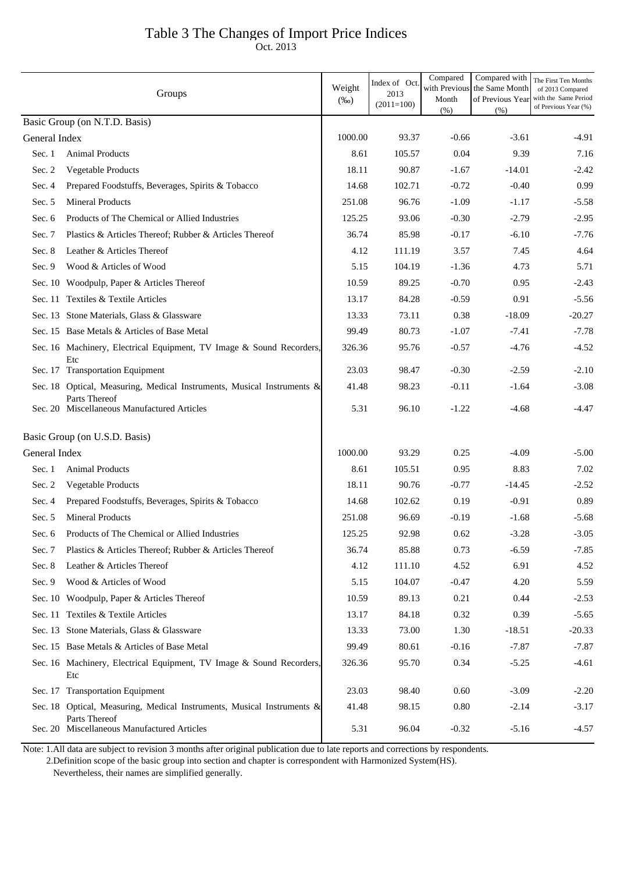# Table 3 The Changes of Import Price Indices

Oct. 2013

|                               | Groups                                                                                  | Weight<br>$(\%0)$ | Index of Oct.<br>2013<br>$(2011=100)$ | Compared<br>with Previous<br>Month<br>(% ) | Compared with<br>the Same Month<br>of Previous Year<br>(% ) | The First Ten Months<br>of 2013 Compared<br>with the Same Period<br>of Previous Year (%) |
|-------------------------------|-----------------------------------------------------------------------------------------|-------------------|---------------------------------------|--------------------------------------------|-------------------------------------------------------------|------------------------------------------------------------------------------------------|
| Basic Group (on N.T.D. Basis) |                                                                                         |                   |                                       |                                            |                                                             |                                                                                          |
| General Index                 |                                                                                         | 1000.00           | 93.37                                 | $-0.66$                                    | $-3.61$                                                     | -4.91                                                                                    |
| Sec. 1                        | <b>Animal Products</b>                                                                  | 8.61              | 105.57                                | 0.04                                       | 9.39                                                        | 7.16                                                                                     |
| Sec. 2                        | Vegetable Products                                                                      | 18.11             | 90.87                                 | $-1.67$                                    | $-14.01$                                                    | $-2.42$                                                                                  |
| Sec. 4                        | Prepared Foodstuffs, Beverages, Spirits & Tobacco                                       | 14.68             | 102.71                                | $-0.72$                                    | $-0.40$                                                     | 0.99                                                                                     |
| Sec. 5                        | <b>Mineral Products</b>                                                                 | 251.08            | 96.76                                 | $-1.09$                                    | $-1.17$                                                     | $-5.58$                                                                                  |
| Sec. 6                        | Products of The Chemical or Allied Industries                                           | 125.25            | 93.06                                 | $-0.30$                                    | $-2.79$                                                     | $-2.95$                                                                                  |
| Sec. 7                        | Plastics & Articles Thereof; Rubber & Articles Thereof                                  | 36.74             | 85.98                                 | $-0.17$                                    | $-6.10$                                                     | $-7.76$                                                                                  |
| Sec. 8                        | Leather & Articles Thereof                                                              | 4.12              | 111.19                                | 3.57                                       | 7.45                                                        | 4.64                                                                                     |
| Sec. 9                        | Wood & Articles of Wood                                                                 | 5.15              | 104.19                                | $-1.36$                                    | 4.73                                                        | 5.71                                                                                     |
|                               | Sec. 10 Woodpulp, Paper & Articles Thereof                                              | 10.59             | 89.25                                 | $-0.70$                                    | 0.95                                                        | $-2.43$                                                                                  |
|                               | Sec. 11 Textiles & Textile Articles                                                     | 13.17             | 84.28                                 | $-0.59$                                    | 0.91                                                        | $-5.56$                                                                                  |
|                               | Sec. 13 Stone Materials, Glass & Glassware                                              | 13.33             | 73.11                                 | 0.38                                       | $-18.09$                                                    | $-20.27$                                                                                 |
|                               | Sec. 15 Base Metals & Articles of Base Metal                                            | 99.49             | 80.73                                 | $-1.07$                                    | $-7.41$                                                     | $-7.78$                                                                                  |
|                               | Sec. 16 Machinery, Electrical Equipment, TV Image & Sound Recorders,<br>Etc             | 326.36            | 95.76                                 | $-0.57$                                    | $-4.76$                                                     | $-4.52$                                                                                  |
|                               | Sec. 17 Transportation Equipment                                                        | 23.03             | 98.47                                 | $-0.30$                                    | $-2.59$                                                     | $-2.10$                                                                                  |
|                               | Sec. 18 Optical, Measuring, Medical Instruments, Musical Instruments &<br>Parts Thereof | 41.48             | 98.23                                 | $-0.11$                                    | $-1.64$                                                     | $-3.08$                                                                                  |
|                               | Sec. 20 Miscellaneous Manufactured Articles                                             | 5.31              | 96.10                                 | $-1.22$                                    | $-4.68$                                                     | $-4.47$                                                                                  |
|                               | Basic Group (on U.S.D. Basis)                                                           |                   |                                       |                                            |                                                             |                                                                                          |
| General Index                 |                                                                                         | 1000.00           | 93.29                                 | 0.25                                       | $-4.09$                                                     | $-5.00$                                                                                  |
| Sec. 1                        | <b>Animal Products</b>                                                                  | 8.61              | 105.51                                | 0.95                                       | 8.83                                                        | 7.02                                                                                     |
| Sec. 2                        | Vegetable Products                                                                      | 18.11             | 90.76                                 | $-0.77$                                    | $-14.45$                                                    | $-2.52$                                                                                  |
| Sec. 4                        | Prepared Foodstuffs, Beverages, Spirits & Tobacco                                       | 14.68             | 102.62                                | 0.19                                       | $-0.91$                                                     | 0.89                                                                                     |
| Sec. 5                        | <b>Mineral Products</b>                                                                 | 251.08            | 96.69                                 | $-0.19$                                    | $-1.68$                                                     | $-5.68$                                                                                  |
|                               | Sec. 6 Products of The Chemical or Allied Industries                                    | 125.25            | 92.98                                 | 0.62                                       | $-3.28$                                                     | $-3.05$                                                                                  |
| Sec. 7                        | Plastics & Articles Thereof; Rubber & Articles Thereof                                  | 36.74             | 85.88                                 | 0.73                                       | $-6.59$                                                     | $-7.85$                                                                                  |
| Sec. 8                        | Leather & Articles Thereof                                                              | 4.12              | 111.10                                | 4.52                                       | 6.91                                                        | 4.52                                                                                     |
| Sec. 9                        | Wood & Articles of Wood                                                                 | 5.15              | 104.07                                | $-0.47$                                    | 4.20                                                        | 5.59                                                                                     |
|                               | Sec. 10 Woodpulp, Paper & Articles Thereof                                              | 10.59             | 89.13                                 | 0.21                                       | 0.44                                                        | $-2.53$                                                                                  |
|                               | Sec. 11 Textiles & Textile Articles                                                     | 13.17             | 84.18                                 | 0.32                                       | 0.39                                                        | $-5.65$                                                                                  |
|                               | Sec. 13 Stone Materials, Glass & Glassware                                              | 13.33             | 73.00                                 | 1.30                                       | $-18.51$                                                    | $-20.33$                                                                                 |
|                               | Sec. 15 Base Metals & Articles of Base Metal                                            | 99.49             | 80.61                                 | $-0.16$                                    | $-7.87$                                                     | $-7.87$                                                                                  |
|                               | Sec. 16 Machinery, Electrical Equipment, TV Image & Sound Recorders,<br>Etc             | 326.36            | 95.70                                 | 0.34                                       | $-5.25$                                                     | $-4.61$                                                                                  |
|                               | Sec. 17 Transportation Equipment                                                        | 23.03             | 98.40                                 | 0.60                                       | $-3.09$                                                     | $-2.20$                                                                                  |
|                               | Sec. 18 Optical, Measuring, Medical Instruments, Musical Instruments &<br>Parts Thereof | 41.48             | 98.15                                 | 0.80                                       | $-2.14$                                                     | $-3.17$                                                                                  |
|                               | Sec. 20 Miscellaneous Manufactured Articles                                             | 5.31              | 96.04                                 | $-0.32$                                    | $-5.16$                                                     | $-4.57$                                                                                  |

Note: 1.All data are subject to revision 3 months after original publication due to late reports and corrections by respondents.

2.Definition scope of the basic group into section and chapter is correspondent with Harmonized System(HS).

Nevertheless, their names are simplified generally.